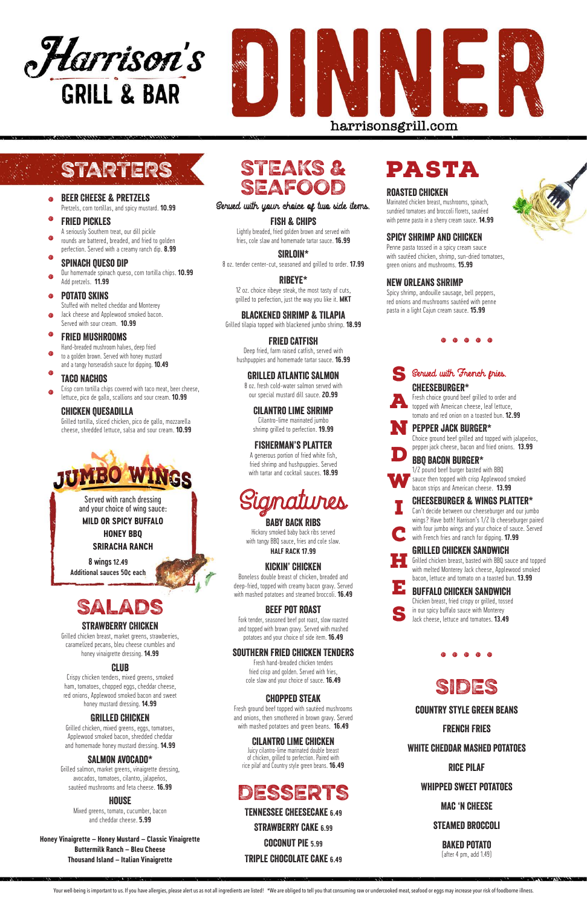

# country style green beans

# French Fries White cheddar mashed potatoes Rice Pilaf Whipped sweet potatoes Mac 'n cheese steamed broccoli baked potato

(after 4 pm, add 1.49)

**NEW YORK OF CAMPAIGN** 

Your well-being is important to us. If you have allergies, please alert us as not all ingredients are listed! \*We are obliged to tell you that consuming raw or undercooked meat, seafood or eggs may increase your risk of fo

- Stuffed with melted cheddar and Monterey .
- Jack cheese and Applewood smoked bacon. Served with sour cream. **10.99**

- Hand-breaded mushroom halves, deep fried to a golden brown. Served with honey mustard .
- and a tangy horseradish sauce for dipping. **10.49**

# Chicken Quesadilla

Grilled tortilla, sliced chicken, pico de gallo, mozzarella cheese, shredded lettuce, salsa and sour cream. **10.99**

**Honey Vinaigrette – Honey Mustard – Classic Vinaigrette Buttermilk Ranch – Bleu Cheese Thousand Island – Italian Vinaigrette**

# Strawberry Chicken

Grilled chicken breast, market greens, strawberries, caramelized pecans, bleu cheese crumbles and honey vinaigrette dressing. **14.99**

#### Club

Crispy chicken tenders, mixed greens, smoked ham, tomatoes, chopped eggs, cheddar cheese, red onions, Applewood smoked bacon and sweet honey mustard dressing. **14.99**

### Grilled Chicken

Grilled chicken, mixed greens, eggs, tomatoes, Applewood smoked bacon, shredded cheddar and homemade honey mustard dressing. **14.99**

#### Salmon Avocado\*

Grilled salmon, market greens, vinaigrette dressing, avocados, tomatoes, cilantro, jalapeños, sautéed mushrooms and feta cheese. **16.99**

#### **HOUSE**

Mixed greens, tomato, cucumber, bacon and cheddar cheese. **5.99**

Signatures

# BABY BACK Ribs

Hickory smoked baby back ribs served with tangy BBQ sauce, fries and cole slaw. **HALF RACK 17.99**

# Kickin' Chicken

Boneless double breast of chicken, breaded and deep-fried, topped with creamy bacon gravy. Served with mashed potatoes and steamed broccoli. **16.49**

### Beef Pot Roast

Fork tender, seasoned beef pot roast, slow roasted and topped with brown gravy. Served with mashed potatoes and your choice of side item. **16.49**

southern fried Chicken Tenders

Fresh hand-breaded chicken tenders

fried crisp and golden. Served with fries, cole slaw and your choice of sauce. **16.49**

# Chopped steak

- Beer Cheese & Pretzels Pretzels, corn tortillas, and spicy mustard. **10.99** .
- Fried Pickles .
- A seriously Southern treat, our dill pickle rounds are battered, breaded, and fried to golden perfection. Served with a creamy ranch dip. **8.99** .
- Spinach Queso Dip .
- Our homemade spinach queso, corn tortilla chips. **10.99** Add pretzels. **11.99** .

Fresh ground beef topped with sautéed mushrooms and onions, then smothered in brown gravy. Served with mashed potatoes and green beans. **16.49**

#### Cilantro Lime Chicken

Potato Skins .

> Juicy cilantro-lime marinated double breast of chicken, grilled to perfection. Paired with rice pilaf and Country style green beans. **16.49**

#### Fried Mushrooms .

# STEAKS & SEAFOOD

### Taco Nachos .

Crisp corn tortilla chips covered with taco meat, beer cheese, lettuce, pico de gallo, scallions and sour cream. **10.99** .

#### Served with your choice of two side items.

### Fish & Chips

Lightly breaded, fried golden brown and served with fries, cole slaw and homemade tartar sauce. **16.99** 

Sirloin\* 8 oz. tender center-cut, seasoned and grilled to order. **17.99**

Ribeye\* 12 oz. choice ribeye steak, the most tasty of cuts, grilled to perfection, just the way you like it. **MKT**

Blackened Shrimp & Tilapia Grilled tilapia topped with blackened jumbo shrimp. **18.99**



Fried Catfish Deep fried, farm raised catfish, served with hushpuppies and homemade tartar sauce. **16.99**

### Grilled Atlantic Salmon

8 oz. fresh cold-water salmon served with our special mustard dill sauce. **20.99**

# Cilantro Lime Shrimp

Cilantro-lime marinated jumbo shrimp grilled to perfection. **19.99**

# Fisherman's Platter

A generous portion of fried white fish, fried shrimp and hushpuppies. Served with tartar and cocktail sauces. **18.99** Choice ground beef grilled and topped with jalapeños, pepper jack cheese, bacon and fried onions. **13.99** 

# Cheeseburger & Wings platter\*

Cheeseburger\* Fresh choice ground beef grilled to order and topped with American cheese, leaf lettuce, tomato and red onion on a toasted bun. **12.99** A

. . . . .



# Grilled Chicken Sandwich

#### BBQ bacon burger\* D

1/2 pound beef burger basted with BBQ sauce then topped with crisp Applewood smoked bacon strips and American cheese. **13.99**  W

Can't decide between our cheeseburger and our jumbo wings? Have both! Harrison's 1/2 lb cheeseburger paired with four jumbo wings and your choice of sauce. Served with French fries and ranch for dipping. **17.99** I C

Grilled chicken breast, basted with BBQ sauce and topped with melted Monterey Jack cheese, Applewood smoked bacon, lettuce and tomato on a toasted bun. **13.99** H

Desserts

#### Buffalo Chicken Sandwich E

Chicken breast, fried crispy or grilled, tossed in our spicy buffalo sauce with Monterey Jack cheese, lettuce and tomatoes. **13.49** S

. . . . .

Tennessee Cheesecake **6.49**

Strawberry Cake **6.99** 

Coconut pie **5.99**

Triple Chocolate cake **6.49**





# STARTERS

# pasta

### Roasted Chicken

Marinated chicken breast, mushrooms, spinach, sundried tomatoes and broccoli florets, sautéed with penne pasta in a sherry cream sauce. **14.99**

Spicy Shrimp and Chicken Penne pasta tossed in a spicy cream sauce

with sautéed chicken, shrimp, sun-dried tomatoes, green onions and mushrooms. **15.99**

# New Orleans SHRIMP

Spicy shrimp, andouille sausage, bell peppers, red onions and mushrooms sautéed with penne pasta in a light Cajun cream sauce. **15.99**

# Served with French gries.